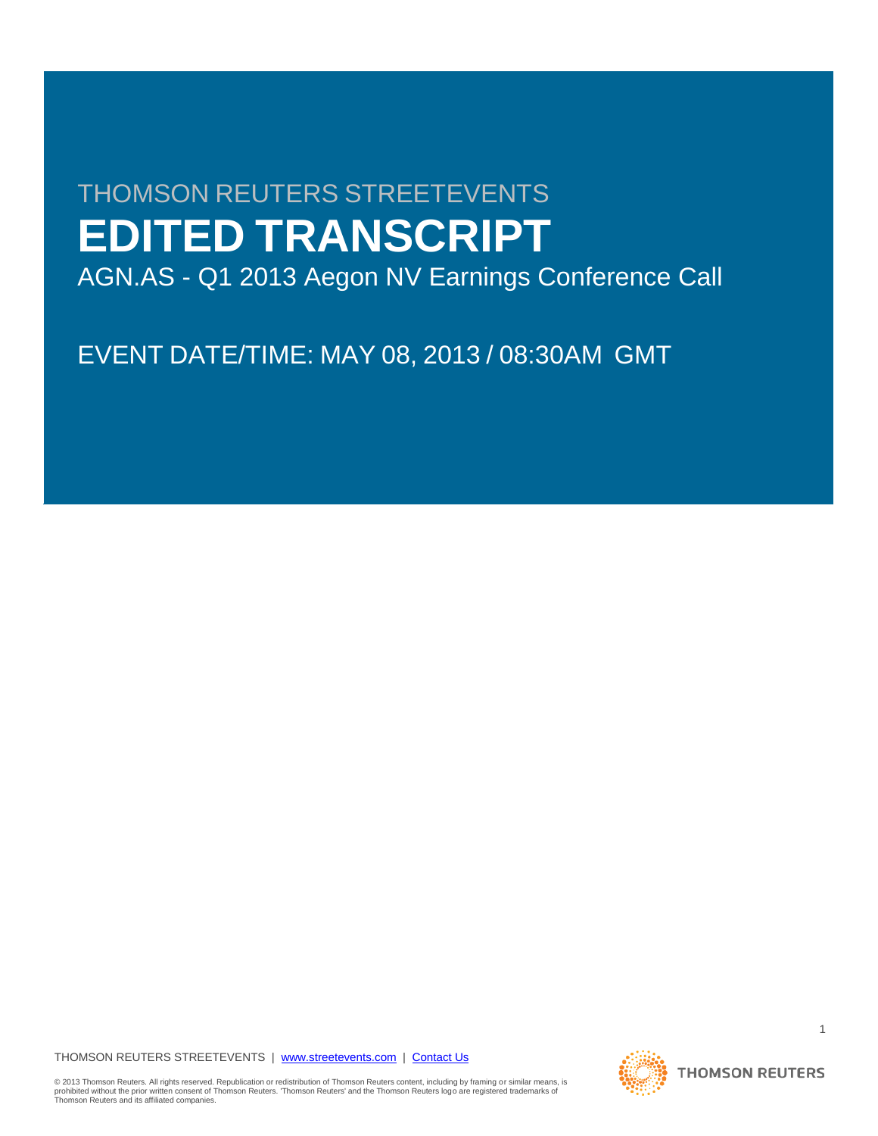# THOMSON REUTERS STREETEVENTS **EDITED TRANSCRIPT**

AGN.AS - Q1 2013 Aegon NV Earnings Conference Call

EVENT DATE/TIME: MAY 08, 2013 / 08:30AM GMT

# THOMSON REUTERS STREETEVENTS | www.streetevents.com | Contact Us

© 2013 Thomson Reuters. All rights reserved. Republication or redistribution of Thomson Reuters content, including by framing or similar means, is<br>prohibited without the prior written consent of Thomson Reuters. 'Thomson

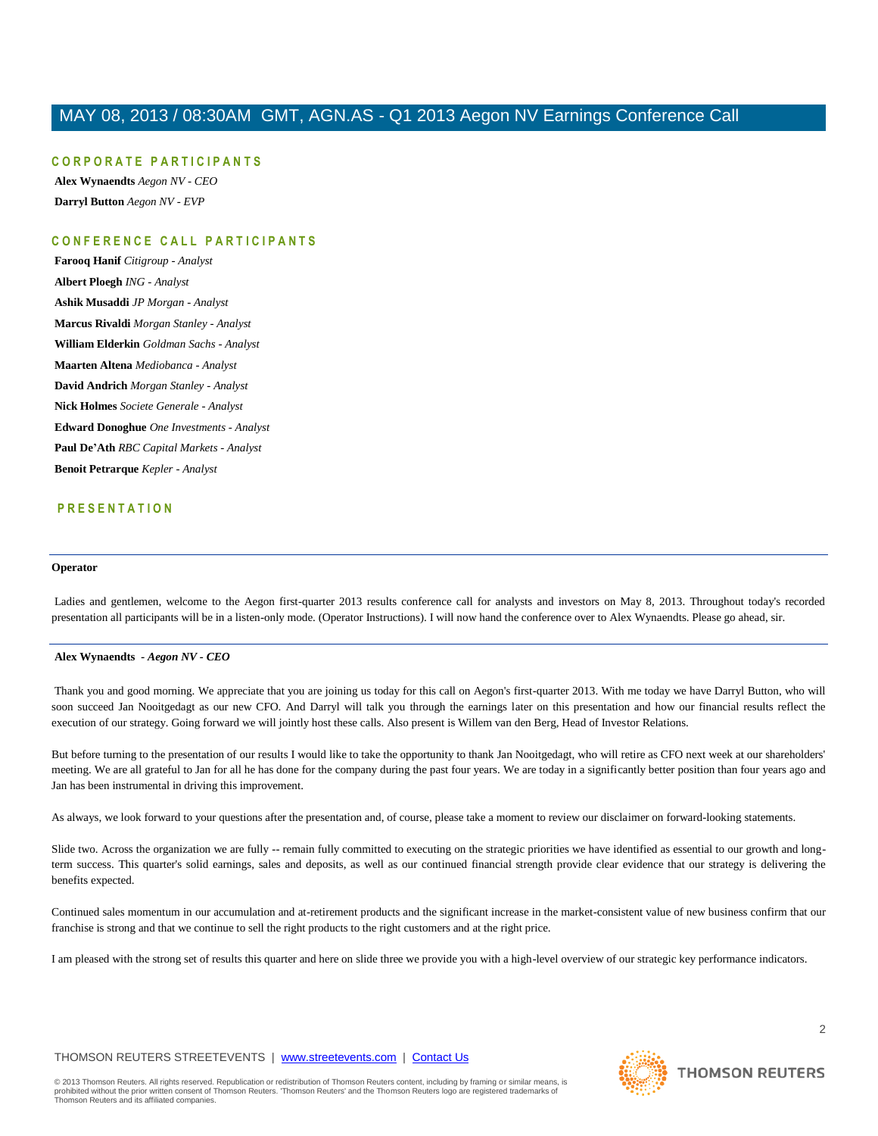#### **C O R P O R A T E P A R T I C I P A N T S**

**Alex Wynaendts** *Aegon NV - CEO* **Darryl Button** *Aegon NV - EVP*

# **C O N F E R E N C E C A L L P A R T I C I P A N T S**

**Farooq Hanif** *Citigroup - Analyst* **Albert Ploegh** *ING - Analyst* **Ashik Musaddi** *JP Morgan - Analyst* **Marcus Rivaldi** *Morgan Stanley - Analyst* **William Elderkin** *Goldman Sachs - Analyst* **Maarten Altena** *Mediobanca - Analyst* **David Andrich** *Morgan Stanley - Analyst* **Nick Holmes** *Societe Generale - Analyst* **Edward Donoghue** *One Investments - Analyst* **Paul De'Ath** *RBC Capital Markets - Analyst* **Benoit Petrarque** *Kepler - Analyst*

# **P R E S E N T A T I O N**

#### **Operator**

Ladies and gentlemen, welcome to the Aegon first-quarter 2013 results conference call for analysts and investors on May 8, 2013. Throughout today's recorded presentation all participants will be in a listen-only mode. (Operator Instructions). I will now hand the conference over to Alex Wynaendts. Please go ahead, sir.

#### **Alex Wynaendts** *- Aegon NV - CEO*

Thank you and good morning. We appreciate that you are joining us today for this call on Aegon's first-quarter 2013. With me today we have Darryl Button, who will soon succeed Jan Nooitgedagt as our new CFO. And Darryl will talk you through the earnings later on this presentation and how our financial results reflect the execution of our strategy. Going forward we will jointly host these calls. Also present is Willem van den Berg, Head of Investor Relations.

But before turning to the presentation of our results I would like to take the opportunity to thank Jan Nooitgedagt, who will retire as CFO next week at our shareholders' meeting. We are all grateful to Jan for all he has done for the company during the past four years. We are today in a significantly better position than four years ago and Jan has been instrumental in driving this improvement.

As always, we look forward to your questions after the presentation and, of course, please take a moment to review our disclaimer on forward-looking statements.

Slide two. Across the organization we are fully -- remain fully committed to executing on the strategic priorities we have identified as essential to our growth and longterm success. This quarter's solid earnings, sales and deposits, as well as our continued financial strength provide clear evidence that our strategy is delivering the benefits expected.

Continued sales momentum in our accumulation and at-retirement products and the significant increase in the market-consistent value of new business confirm that our franchise is strong and that we continue to sell the right products to the right customers and at the right price.

I am pleased with the strong set of results this quarter and here on slide three we provide you with a high-level overview of our strategic key performance indicators.

# THOMSON REUTERS STREETEVENTS | www.streetevents.com | Contact Us

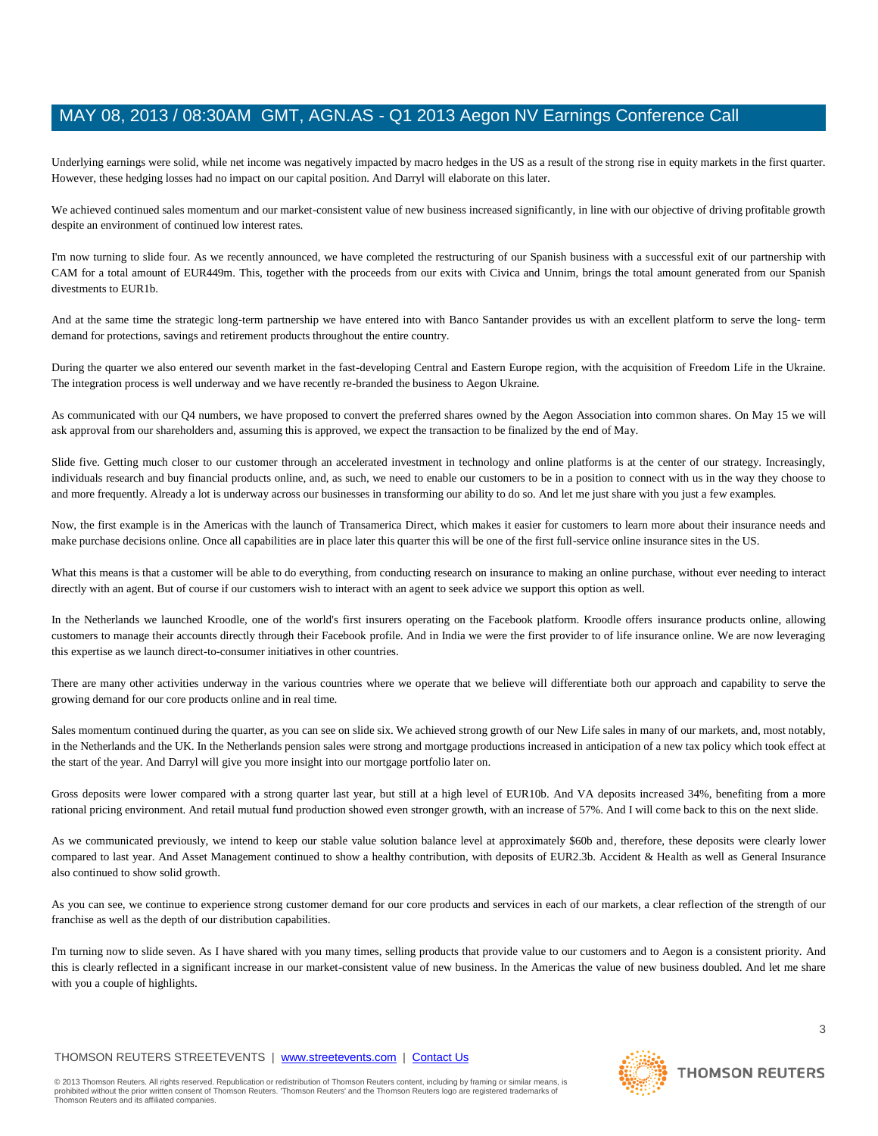Underlying earnings were solid, while net income was negatively impacted by macro hedges in the US as a result of the strong rise in equity markets in the first quarter. However, these hedging losses had no impact on our capital position. And Darryl will elaborate on this later.

We achieved continued sales momentum and our market-consistent value of new business increased significantly, in line with our objective of driving profitable growth despite an environment of continued low interest rates.

I'm now turning to slide four. As we recently announced, we have completed the restructuring of our Spanish business with a successful exit of our partnership with CAM for a total amount of EUR449m. This, together with the proceeds from our exits with Civica and Unnim, brings the total amount generated from our Spanish divestments to EUR1b.

And at the same time the strategic long-term partnership we have entered into with Banco Santander provides us with an excellent platform to serve the long- term demand for protections, savings and retirement products throughout the entire country.

During the quarter we also entered our seventh market in the fast-developing Central and Eastern Europe region, with the acquisition of Freedom Life in the Ukraine. The integration process is well underway and we have recently re-branded the business to Aegon Ukraine.

As communicated with our Q4 numbers, we have proposed to convert the preferred shares owned by the Aegon Association into common shares. On May 15 we will ask approval from our shareholders and, assuming this is approved, we expect the transaction to be finalized by the end of May.

Slide five. Getting much closer to our customer through an accelerated investment in technology and online platforms is at the center of our strategy. Increasingly, individuals research and buy financial products online, and, as such, we need to enable our customers to be in a position to connect with us in the way they choose to and more frequently. Already a lot is underway across our businesses in transforming our ability to do so. And let me just share with you just a few examples.

Now, the first example is in the Americas with the launch of Transamerica Direct, which makes it easier for customers to learn more about their insurance needs and make purchase decisions online. Once all capabilities are in place later this quarter this will be one of the first full-service online insurance sites in the US.

What this means is that a customer will be able to do everything, from conducting research on insurance to making an online purchase, without ever needing to interact directly with an agent. But of course if our customers wish to interact with an agent to seek advice we support this option as well.

In the Netherlands we launched Kroodle, one of the world's first insurers operating on the Facebook platform. Kroodle offers insurance products online, allowing customers to manage their accounts directly through their Facebook profile. And in India we were the first provider to of life insurance online. We are now leveraging this expertise as we launch direct-to-consumer initiatives in other countries.

There are many other activities underway in the various countries where we operate that we believe will differentiate both our approach and capability to serve the growing demand for our core products online and in real time.

Sales momentum continued during the quarter, as you can see on slide six. We achieved strong growth of our New Life sales in many of our markets, and, most notably, in the Netherlands and the UK. In the Netherlands pension sales were strong and mortgage productions increased in anticipation of a new tax policy which took effect at the start of the year. And Darryl will give you more insight into our mortgage portfolio later on.

Gross deposits were lower compared with a strong quarter last year, but still at a high level of EUR10b. And VA deposits increased 34%, benefiting from a more rational pricing environment. And retail mutual fund production showed even stronger growth, with an increase of 57%. And I will come back to this on the next slide.

As we communicated previously, we intend to keep our stable value solution balance level at approximately \$60b and, therefore, these deposits were clearly lower compared to last year. And Asset Management continued to show a healthy contribution, with deposits of EUR2.3b. Accident & Health as well as General Insurance also continued to show solid growth.

As you can see, we continue to experience strong customer demand for our core products and services in each of our markets, a clear reflection of the strength of our franchise as well as the depth of our distribution capabilities.

I'm turning now to slide seven. As I have shared with you many times, selling products that provide value to our customers and to Aegon is a consistent priority. And this is clearly reflected in a significant increase in our market-consistent value of new business. In the Americas the value of new business doubled. And let me share with you a couple of highlights.

# THOMSON REUTERS STREETEVENTS | www.streetevents.com | Contact Us

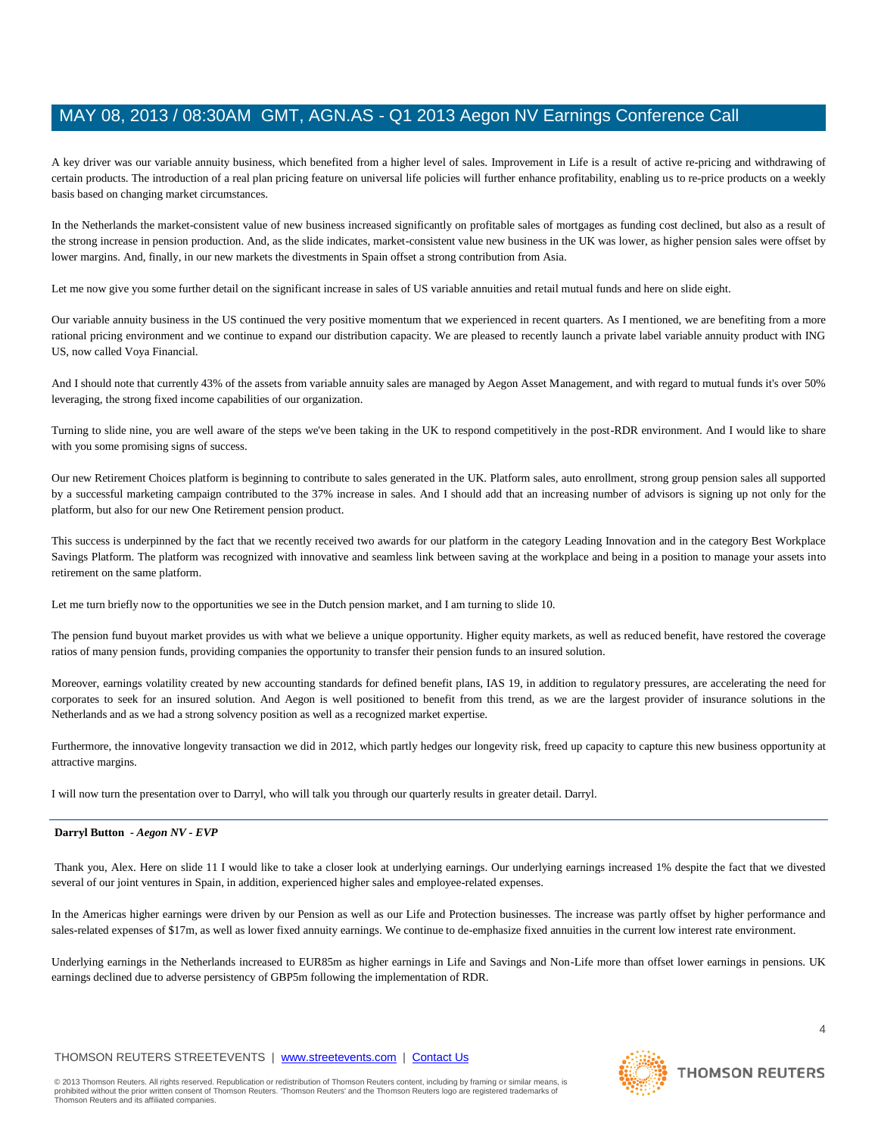A key driver was our variable annuity business, which benefited from a higher level of sales. Improvement in Life is a result of active re-pricing and withdrawing of certain products. The introduction of a real plan pricing feature on universal life policies will further enhance profitability, enabling us to re-price products on a weekly basis based on changing market circumstances.

In the Netherlands the market-consistent value of new business increased significantly on profitable sales of mortgages as funding cost declined, but also as a result of the strong increase in pension production. And, as the slide indicates, market-consistent value new business in the UK was lower, as higher pension sales were offset by lower margins. And, finally, in our new markets the divestments in Spain offset a strong contribution from Asia.

Let me now give you some further detail on the significant increase in sales of US variable annuities and retail mutual funds and here on slide eight.

Our variable annuity business in the US continued the very positive momentum that we experienced in recent quarters. As I mentioned, we are benefiting from a more rational pricing environment and we continue to expand our distribution capacity. We are pleased to recently launch a private label variable annuity product with ING US, now called Voya Financial.

And I should note that currently 43% of the assets from variable annuity sales are managed by Aegon Asset Management, and with regard to mutual funds it's over 50% leveraging, the strong fixed income capabilities of our organization.

Turning to slide nine, you are well aware of the steps we've been taking in the UK to respond competitively in the post-RDR environment. And I would like to share with you some promising signs of success.

Our new Retirement Choices platform is beginning to contribute to sales generated in the UK. Platform sales, auto enrollment, strong group pension sales all supported by a successful marketing campaign contributed to the 37% increase in sales. And I should add that an increasing number of advisors is signing up not only for the platform, but also for our new One Retirement pension product.

This success is underpinned by the fact that we recently received two awards for our platform in the category Leading Innovation and in the category Best Workplace Savings Platform. The platform was recognized with innovative and seamless link between saving at the workplace and being in a position to manage your assets into retirement on the same platform.

Let me turn briefly now to the opportunities we see in the Dutch pension market, and I am turning to slide 10.

The pension fund buyout market provides us with what we believe a unique opportunity. Higher equity markets, as well as reduced benefit, have restored the coverage ratios of many pension funds, providing companies the opportunity to transfer their pension funds to an insured solution.

Moreover, earnings volatility created by new accounting standards for defined benefit plans, IAS 19, in addition to regulatory pressures, are accelerating the need for corporates to seek for an insured solution. And Aegon is well positioned to benefit from this trend, as we are the largest provider of insurance solutions in the Netherlands and as we had a strong solvency position as well as a recognized market expertise.

Furthermore, the innovative longevity transaction we did in 2012, which partly hedges our longevity risk, freed up capacity to capture this new business opportunity at attractive margins.

I will now turn the presentation over to Darryl, who will talk you through our quarterly results in greater detail. Darryl.

### **Darryl Button** *- Aegon NV - EVP*

Thank you, Alex. Here on slide 11 I would like to take a closer look at underlying earnings. Our underlying earnings increased 1% despite the fact that we divested several of our joint ventures in Spain, in addition, experienced higher sales and employee-related expenses.

In the Americas higher earnings were driven by our Pension as well as our Life and Protection businesses. The increase was partly offset by higher performance and sales-related expenses of \$17m, as well as lower fixed annuity earnings. We continue to de-emphasize fixed annuities in the current low interest rate environment.

Underlying earnings in the Netherlands increased to EUR85m as higher earnings in Life and Savings and Non-Life more than offset lower earnings in pensions. UK earnings declined due to adverse persistency of GBP5m following the implementation of RDR.

# THOMSON REUTERS STREETEVENTS | www.streetevents.com | Contact Us

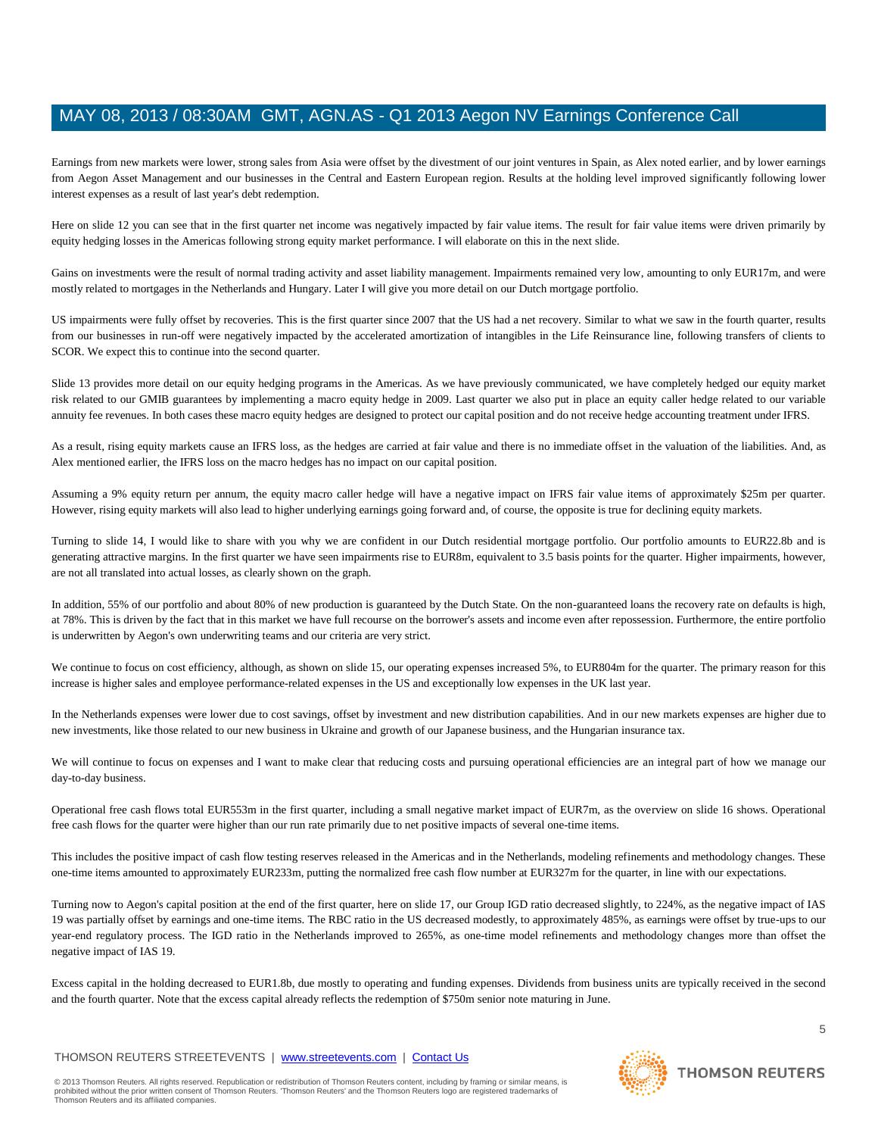Earnings from new markets were lower, strong sales from Asia were offset by the divestment of our joint ventures in Spain, as Alex noted earlier, and by lower earnings from Aegon Asset Management and our businesses in the Central and Eastern European region. Results at the holding level improved significantly following lower interest expenses as a result of last year's debt redemption.

Here on slide 12 you can see that in the first quarter net income was negatively impacted by fair value items. The result for fair value items were driven primarily by equity hedging losses in the Americas following strong equity market performance. I will elaborate on this in the next slide.

Gains on investments were the result of normal trading activity and asset liability management. Impairments remained very low, amounting to only EUR17m, and were mostly related to mortgages in the Netherlands and Hungary. Later I will give you more detail on our Dutch mortgage portfolio.

US impairments were fully offset by recoveries. This is the first quarter since 2007 that the US had a net recovery. Similar to what we saw in the fourth quarter, results from our businesses in run-off were negatively impacted by the accelerated amortization of intangibles in the Life Reinsurance line, following transfers of clients to SCOR. We expect this to continue into the second quarter.

Slide 13 provides more detail on our equity hedging programs in the Americas. As we have previously communicated, we have completely hedged our equity market risk related to our GMIB guarantees by implementing a macro equity hedge in 2009. Last quarter we also put in place an equity caller hedge related to our variable annuity fee revenues. In both cases these macro equity hedges are designed to protect our capital position and do not receive hedge accounting treatment under IFRS.

As a result, rising equity markets cause an IFRS loss, as the hedges are carried at fair value and there is no immediate offset in the valuation of the liabilities. And, as Alex mentioned earlier, the IFRS loss on the macro hedges has no impact on our capital position.

Assuming a 9% equity return per annum, the equity macro caller hedge will have a negative impact on IFRS fair value items of approximately \$25m per quarter. However, rising equity markets will also lead to higher underlying earnings going forward and, of course, the opposite is true for declining equity markets.

Turning to slide 14, I would like to share with you why we are confident in our Dutch residential mortgage portfolio. Our portfolio amounts to EUR22.8b and is generating attractive margins. In the first quarter we have seen impairments rise to EUR8m, equivalent to 3.5 basis points for the quarter. Higher impairments, however, are not all translated into actual losses, as clearly shown on the graph.

In addition, 55% of our portfolio and about 80% of new production is guaranteed by the Dutch State. On the non-guaranteed loans the recovery rate on defaults is high, at 78%. This is driven by the fact that in this market we have full recourse on the borrower's assets and income even after repossession. Furthermore, the entire portfolio is underwritten by Aegon's own underwriting teams and our criteria are very strict.

We continue to focus on cost efficiency, although, as shown on slide 15, our operating expenses increased 5%, to EUR804m for the quarter. The primary reason for this increase is higher sales and employee performance-related expenses in the US and exceptionally low expenses in the UK last year.

In the Netherlands expenses were lower due to cost savings, offset by investment and new distribution capabilities. And in our new markets expenses are higher due to new investments, like those related to our new business in Ukraine and growth of our Japanese business, and the Hungarian insurance tax.

We will continue to focus on expenses and I want to make clear that reducing costs and pursuing operational efficiencies are an integral part of how we manage our day-to-day business.

Operational free cash flows total EUR553m in the first quarter, including a small negative market impact of EUR7m, as the overview on slide 16 shows. Operational free cash flows for the quarter were higher than our run rate primarily due to net positive impacts of several one-time items.

This includes the positive impact of cash flow testing reserves released in the Americas and in the Netherlands, modeling refinements and methodology changes. These one-time items amounted to approximately EUR233m, putting the normalized free cash flow number at EUR327m for the quarter, in line with our expectations.

Turning now to Aegon's capital position at the end of the first quarter, here on slide 17, our Group IGD ratio decreased slightly, to 224%, as the negative impact of IAS 19 was partially offset by earnings and one-time items. The RBC ratio in the US decreased modestly, to approximately 485%, as earnings were offset by true-ups to our year-end regulatory process. The IGD ratio in the Netherlands improved to 265%, as one-time model refinements and methodology changes more than offset the negative impact of IAS 19.

Excess capital in the holding decreased to EUR1.8b, due mostly to operating and funding expenses. Dividends from business units are typically received in the second and the fourth quarter. Note that the excess capital already reflects the redemption of \$750m senior note maturing in June.

# THOMSON REUTERS STREETEVENTS | www.streetevents.com | Contact Us

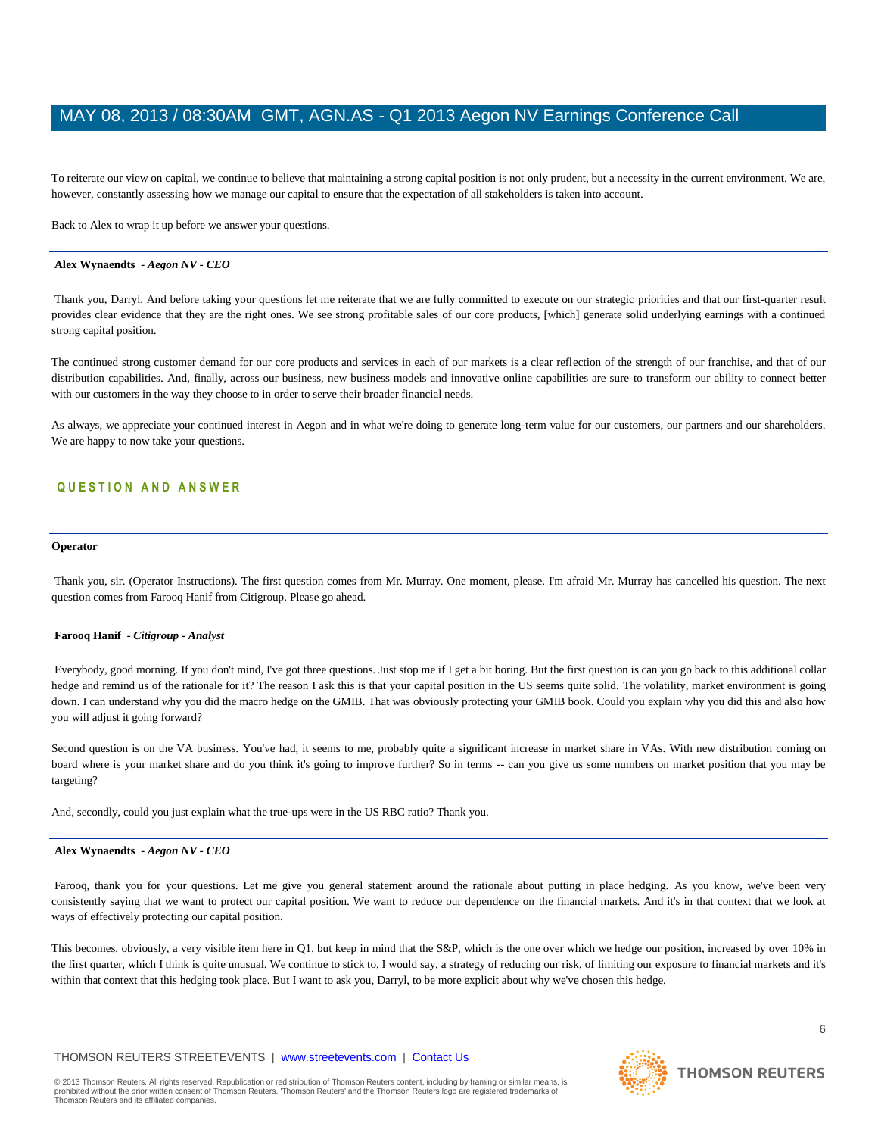To reiterate our view on capital, we continue to believe that maintaining a strong capital position is not only prudent, but a necessity in the current environment. We are, however, constantly assessing how we manage our capital to ensure that the expectation of all stakeholders is taken into account.

Back to Alex to wrap it up before we answer your questions.

#### **Alex Wynaendts** *- Aegon NV - CEO*

Thank you, Darryl. And before taking your questions let me reiterate that we are fully committed to execute on our strategic priorities and that our first-quarter result provides clear evidence that they are the right ones. We see strong profitable sales of our core products, [which] generate solid underlying earnings with a continued strong capital position.

The continued strong customer demand for our core products and services in each of our markets is a clear reflection of the strength of our franchise, and that of our distribution capabilities. And, finally, across our business, new business models and innovative online capabilities are sure to transform our ability to connect better with our customers in the way they choose to in order to serve their broader financial needs.

As always, we appreciate your continued interest in Aegon and in what we're doing to generate long-term value for our customers, our partners and our shareholders. We are happy to now take your questions.

# **Q U E S T I O N A N D A N S W E R**

#### **Operator**

Thank you, sir. (Operator Instructions). The first question comes from Mr. Murray. One moment, please. I'm afraid Mr. Murray has cancelled his question. The next question comes from Farooq Hanif from Citigroup. Please go ahead.

#### **Farooq Hanif** *- Citigroup - Analyst*

Everybody, good morning. If you don't mind, I've got three questions. Just stop me if I get a bit boring. But the first question is can you go back to this additional collar hedge and remind us of the rationale for it? The reason I ask this is that your capital position in the US seems quite solid. The volatility, market environment is going down. I can understand why you did the macro hedge on the GMIB. That was obviously protecting your GMIB book. Could you explain why you did this and also how you will adjust it going forward?

Second question is on the VA business. You've had, it seems to me, probably quite a significant increase in market share in VAs. With new distribution coming on board where is your market share and do you think it's going to improve further? So in terms -- can you give us some numbers on market position that you may be targeting?

And, secondly, could you just explain what the true-ups were in the US RBC ratio? Thank you.

#### **Alex Wynaendts** *- Aegon NV - CEO*

Farooq, thank you for your questions. Let me give you general statement around the rationale about putting in place hedging. As you know, we've been very consistently saying that we want to protect our capital position. We want to reduce our dependence on the financial markets. And it's in that context that we look at ways of effectively protecting our capital position.

This becomes, obviously, a very visible item here in Q1, but keep in mind that the S&P, which is the one over which we hedge our position, increased by over 10% in the first quarter, which I think is quite unusual. We continue to stick to, I would say, a strategy of reducing our risk, of limiting our exposure to financial markets and it's within that context that this hedging took place. But I want to ask you, Darryl, to be more explicit about why we've chosen this hedge.

# THOMSON REUTERS STREETEVENTS | www.streetevents.com | Contact Us

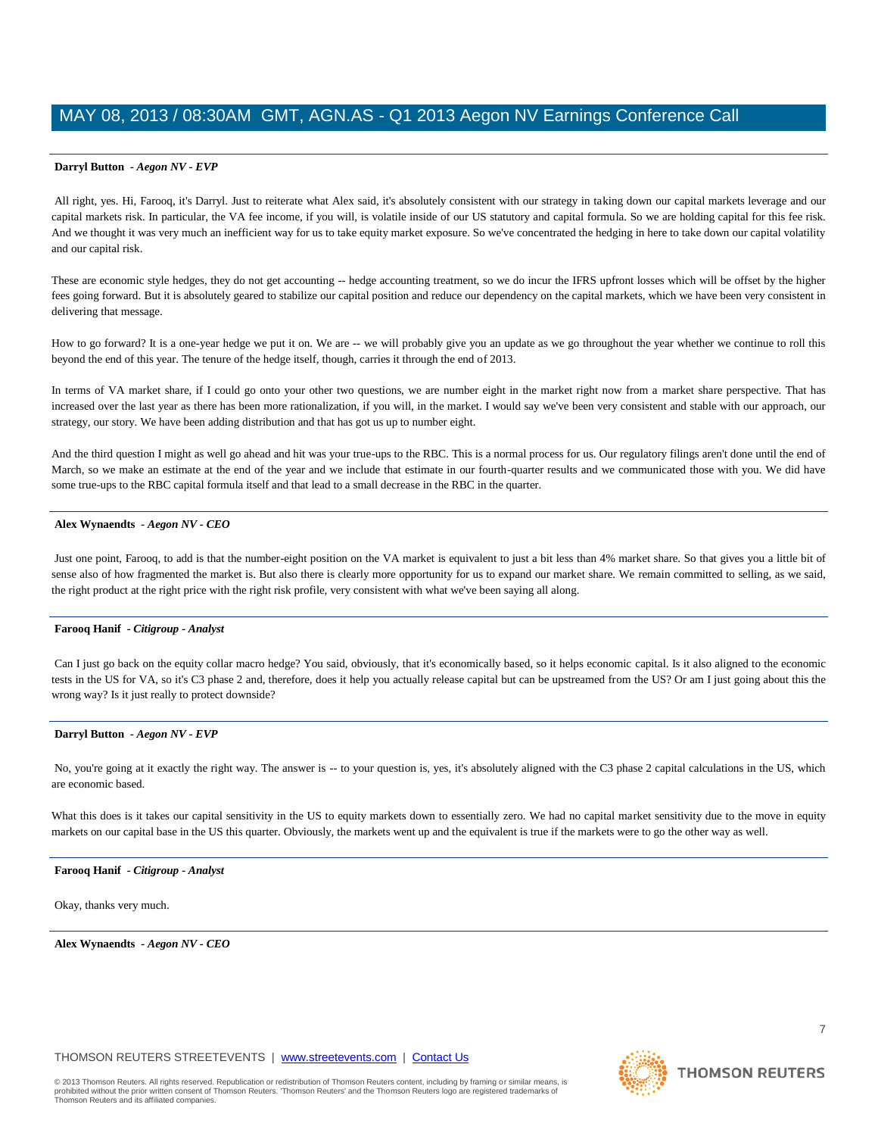All right, yes. Hi, Farooq, it's Darryl. Just to reiterate what Alex said, it's absolutely consistent with our strategy in taking down our capital markets leverage and our capital markets risk. In particular, the VA fee income, if you will, is volatile inside of our US statutory and capital formula. So we are holding capital for this fee risk. And we thought it was very much an inefficient way for us to take equity market exposure. So we've concentrated the hedging in here to take down our capital volatility and our capital risk.

These are economic style hedges, they do not get accounting -- hedge accounting treatment, so we do incur the IFRS upfront losses which will be offset by the higher fees going forward. But it is absolutely geared to stabilize our capital position and reduce our dependency on the capital markets, which we have been very consistent in delivering that message.

How to go forward? It is a one-year hedge we put it on. We are -- we will probably give you an update as we go throughout the year whether we continue to roll this beyond the end of this year. The tenure of the hedge itself, though, carries it through the end of 2013.

In terms of VA market share, if I could go onto your other two questions, we are number eight in the market right now from a market share perspective. That has increased over the last year as there has been more rationalization, if you will, in the market. I would say we've been very consistent and stable with our approach, our strategy, our story. We have been adding distribution and that has got us up to number eight.

And the third question I might as well go ahead and hit was your true-ups to the RBC. This is a normal process for us. Our regulatory filings aren't done until the end of March, so we make an estimate at the end of the year and we include that estimate in our fourth-quarter results and we communicated those with you. We did have some true-ups to the RBC capital formula itself and that lead to a small decrease in the RBC in the quarter.

#### **Alex Wynaendts** *- Aegon NV - CEO*

Just one point, Farooq, to add is that the number-eight position on the VA market is equivalent to just a bit less than 4% market share. So that gives you a little bit of sense also of how fragmented the market is. But also there is clearly more opportunity for us to expand our market share. We remain committed to selling, as we said, the right product at the right price with the right risk profile, very consistent with what we've been saying all along.

### **Farooq Hanif** *- Citigroup - Analyst*

Can I just go back on the equity collar macro hedge? You said, obviously, that it's economically based, so it helps economic capital. Is it also aligned to the economic tests in the US for VA, so it's C3 phase 2 and, therefore, does it help you actually release capital but can be upstreamed from the US? Or am I just going about this the wrong way? Is it just really to protect downside?

#### **Darryl Button** *- Aegon NV - EVP*

No, you're going at it exactly the right way. The answer is -- to your question is, yes, it's absolutely aligned with the C3 phase 2 capital calculations in the US, which are economic based.

What this does is it takes our capital sensitivity in the US to equity markets down to essentially zero. We had no capital market sensitivity due to the move in equity markets on our capital base in the US this quarter. Obviously, the markets went up and the equivalent is true if the markets were to go the other way as well.

#### **Farooq Hanif** *- Citigroup - Analyst*

Okay, thanks very much.

**Alex Wynaendts** *- Aegon NV - CEO* 

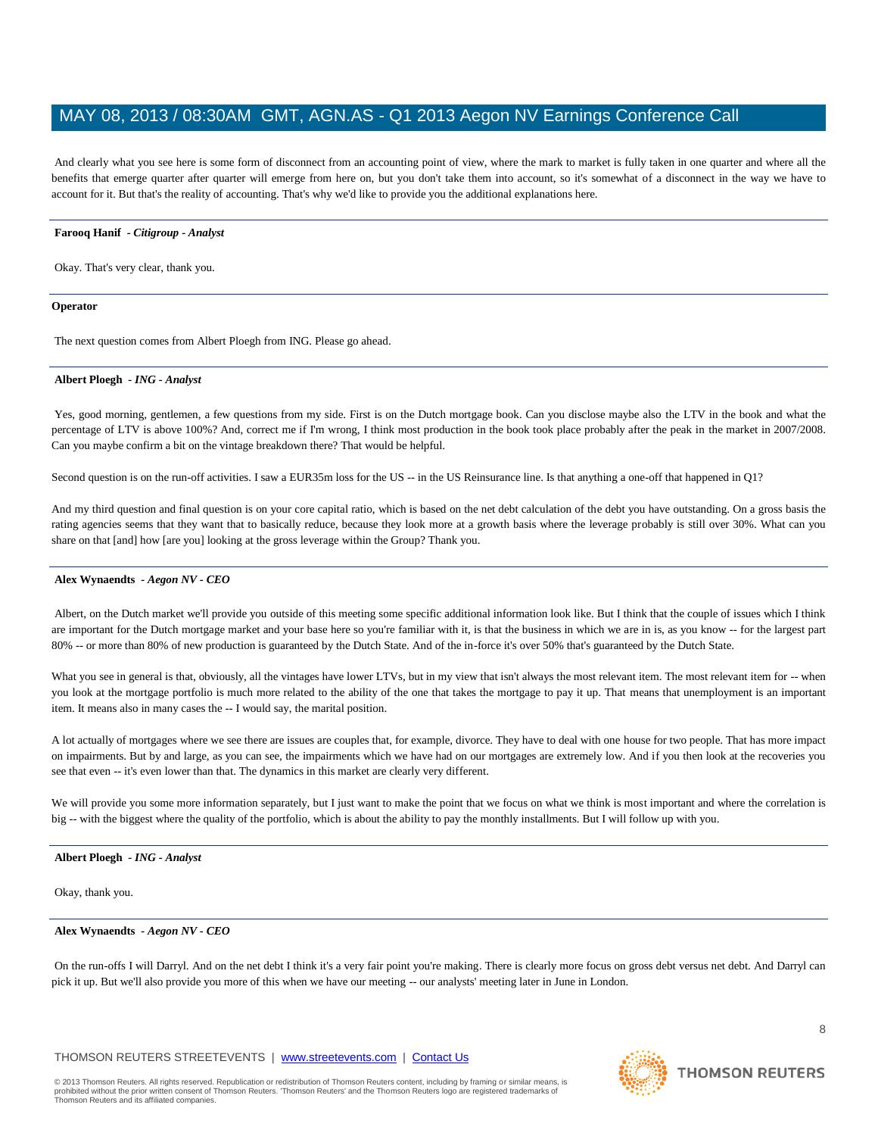And clearly what you see here is some form of disconnect from an accounting point of view, where the mark to market is fully taken in one quarter and where all the benefits that emerge quarter after quarter will emerge from here on, but you don't take them into account, so it's somewhat of a disconnect in the way we have to account for it. But that's the reality of accounting. That's why we'd like to provide you the additional explanations here.

### **Farooq Hanif** *- Citigroup - Analyst*

Okay. That's very clear, thank you.

#### **Operator**

The next question comes from Albert Ploegh from ING. Please go ahead.

#### **Albert Ploegh** *- ING - Analyst*

Yes, good morning, gentlemen, a few questions from my side. First is on the Dutch mortgage book. Can you disclose maybe also the LTV in the book and what the percentage of LTV is above 100%? And, correct me if I'm wrong, I think most production in the book took place probably after the peak in the market in 2007/2008. Can you maybe confirm a bit on the vintage breakdown there? That would be helpful.

Second question is on the run-off activities. I saw a EUR35m loss for the US -- in the US Reinsurance line. Is that anything a one-off that happened in Q1?

And my third question and final question is on your core capital ratio, which is based on the net debt calculation of the debt you have outstanding. On a gross basis the rating agencies seems that they want that to basically reduce, because they look more at a growth basis where the leverage probably is still over 30%. What can you share on that [and] how [are you] looking at the gross leverage within the Group? Thank you.

### **Alex Wynaendts** *- Aegon NV - CEO*

Albert, on the Dutch market we'll provide you outside of this meeting some specific additional information look like. But I think that the couple of issues which I think are important for the Dutch mortgage market and your base here so you're familiar with it, is that the business in which we are in is, as you know -- for the largest part 80% -- or more than 80% of new production is guaranteed by the Dutch State. And of the in-force it's over 50% that's guaranteed by the Dutch State.

What you see in general is that, obviously, all the vintages have lower LTVs, but in my view that isn't always the most relevant item. The most relevant item for -- when you look at the mortgage portfolio is much more related to the ability of the one that takes the mortgage to pay it up. That means that unemployment is an important item. It means also in many cases the -- I would say, the marital position.

A lot actually of mortgages where we see there are issues are couples that, for example, divorce. They have to deal with one house for two people. That has more impact on impairments. But by and large, as you can see, the impairments which we have had on our mortgages are extremely low. And if you then look at the recoveries you see that even -- it's even lower than that. The dynamics in this market are clearly very different.

We will provide you some more information separately, but I just want to make the point that we focus on what we think is most important and where the correlation is big -- with the biggest where the quality of the portfolio, which is about the ability to pay the monthly installments. But I will follow up with you.

#### **Albert Ploegh** *- ING - Analyst*

Okay, thank you.

#### **Alex Wynaendts** *- Aegon NV - CEO*

On the run-offs I will Darryl. And on the net debt I think it's a very fair point you're making. There is clearly more focus on gross debt versus net debt. And Darryl can pick it up. But we'll also provide you more of this when we have our meeting -- our analysts' meeting later in June in London.

# THOMSON REUTERS STREETEVENTS | www.streetevents.com | Contact Us

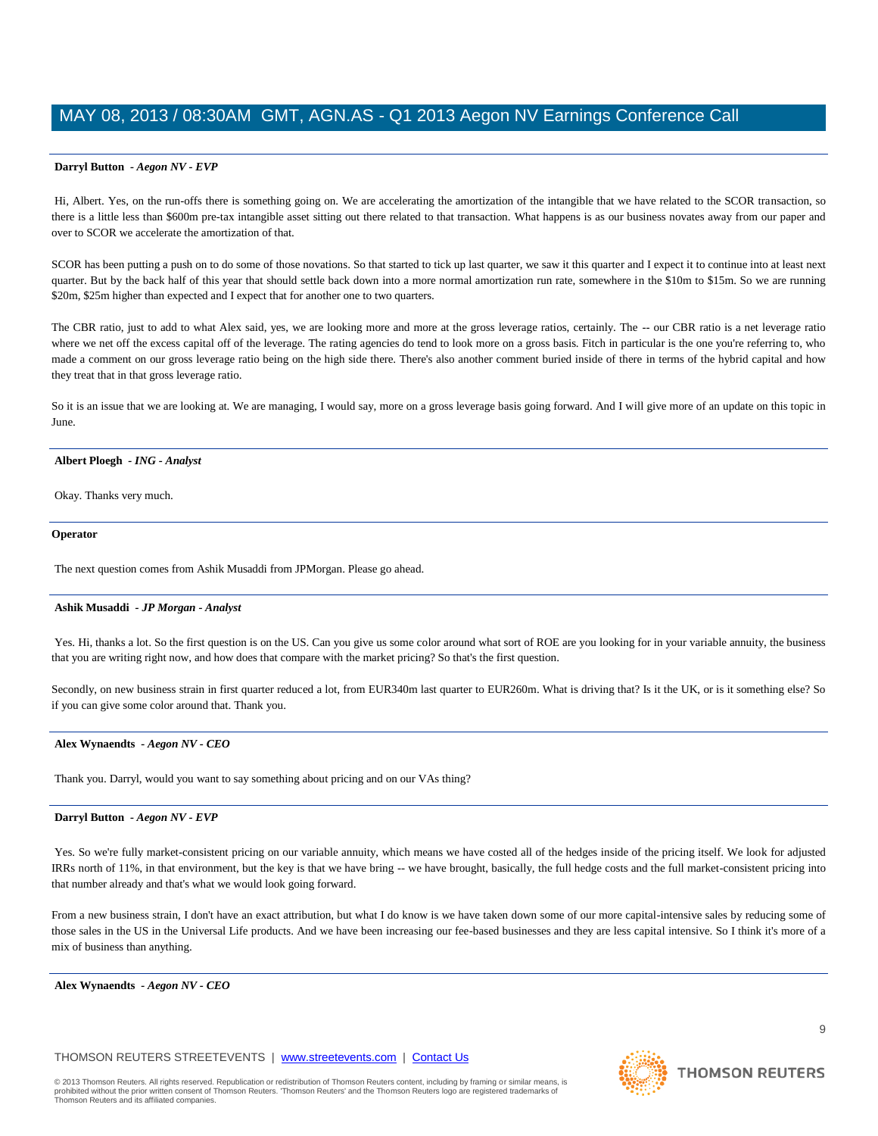Hi, Albert. Yes, on the run-offs there is something going on. We are accelerating the amortization of the intangible that we have related to the SCOR transaction, so there is a little less than \$600m pre-tax intangible asset sitting out there related to that transaction. What happens is as our business novates away from our paper and over to SCOR we accelerate the amortization of that.

SCOR has been putting a push on to do some of those novations. So that started to tick up last quarter, we saw it this quarter and I expect it to continue into at least next quarter. But by the back half of this year that should settle back down into a more normal amortization run rate, somewhere in the \$10m to \$15m. So we are running \$20m, \$25m higher than expected and I expect that for another one to two quarters.

The CBR ratio, just to add to what Alex said, yes, we are looking more and more at the gross leverage ratios, certainly. The -- our CBR ratio is a net leverage ratio where we net off the excess capital off of the leverage. The rating agencies do tend to look more on a gross basis. Fitch in particular is the one you're referring to, who made a comment on our gross leverage ratio being on the high side there. There's also another comment buried inside of there in terms of the hybrid capital and how they treat that in that gross leverage ratio.

So it is an issue that we are looking at. We are managing, I would say, more on a gross leverage basis going forward. And I will give more of an update on this topic in June.

#### **Albert Ploegh** *- ING - Analyst*

Okay. Thanks very much.

#### **Operator**

The next question comes from Ashik Musaddi from JPMorgan. Please go ahead.

#### **Ashik Musaddi** *- JP Morgan - Analyst*

Yes. Hi, thanks a lot. So the first question is on the US. Can you give us some color around what sort of ROE are you looking for in your variable annuity, the business that you are writing right now, and how does that compare with the market pricing? So that's the first question.

Secondly, on new business strain in first quarter reduced a lot, from EUR340m last quarter to EUR260m. What is driving that? Is it the UK, or is it something else? So if you can give some color around that. Thank you.

#### **Alex Wynaendts** *- Aegon NV - CEO*

Thank you. Darryl, would you want to say something about pricing and on our VAs thing?

#### **Darryl Button** *- Aegon NV - EVP*

Yes. So we're fully market-consistent pricing on our variable annuity, which means we have costed all of the hedges inside of the pricing itself. We look for adjusted IRRs north of 11%, in that environment, but the key is that we have bring -- we have brought, basically, the full hedge costs and the full market-consistent pricing into that number already and that's what we would look going forward.

From a new business strain, I don't have an exact attribution, but what I do know is we have taken down some of our more capital-intensive sales by reducing some of those sales in the US in the Universal Life products. And we have been increasing our fee-based businesses and they are less capital intensive. So I think it's more of a mix of business than anything.

#### **Alex Wynaendts** *- Aegon NV - CEO*

# THOMSON REUTERS STREETEVENTS | www.streetevents.com | Contact Us

© 2013 Thomson Reuters. All rights reserved. Republication or redistribution of Thomson Reuters content, including by framing or similar means, is prohibited without the prior written consent of Thomson Reuters. 'Thomson Reuters' and the Thomson Reuters logo are registered trademarks of Thomson Reuters and its affiliated companies.

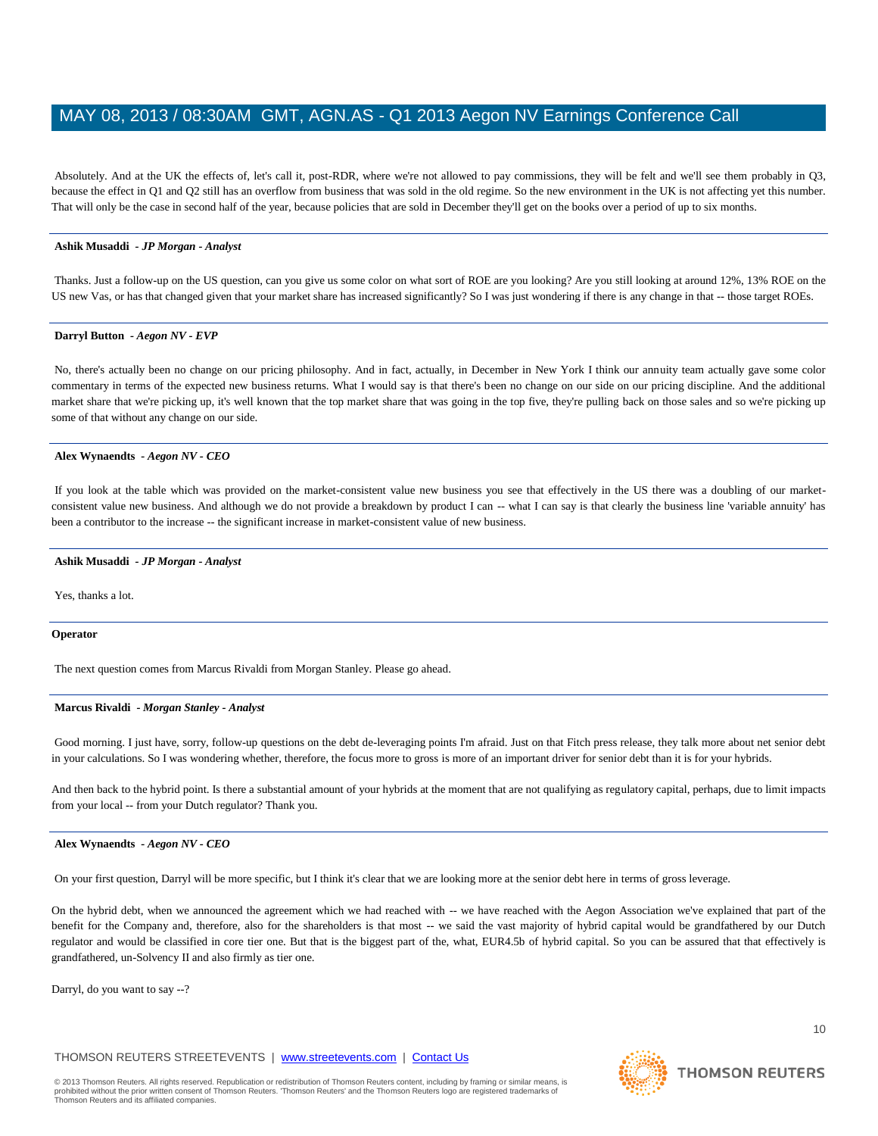Absolutely. And at the UK the effects of, let's call it, post-RDR, where we're not allowed to pay commissions, they will be felt and we'll see them probably in Q3, because the effect in Q1 and Q2 still has an overflow from business that was sold in the old regime. So the new environment in the UK is not affecting yet this number. That will only be the case in second half of the year, because policies that are sold in December they'll get on the books over a period of up to six months.

#### **Ashik Musaddi** *- JP Morgan - Analyst*

Thanks. Just a follow-up on the US question, can you give us some color on what sort of ROE are you looking? Are you still looking at around 12%, 13% ROE on the US new Vas, or has that changed given that your market share has increased significantly? So I was just wondering if there is any change in that -- those target ROEs.

#### **Darryl Button** *- Aegon NV - EVP*

No, there's actually been no change on our pricing philosophy. And in fact, actually, in December in New York I think our annuity team actually gave some color commentary in terms of the expected new business returns. What I would say is that there's been no change on our side on our pricing discipline. And the additional market share that we're picking up, it's well known that the top market share that was going in the top five, they're pulling back on those sales and so we're picking up some of that without any change on our side.

#### **Alex Wynaendts** *- Aegon NV - CEO*

If you look at the table which was provided on the market-consistent value new business you see that effectively in the US there was a doubling of our marketconsistent value new business. And although we do not provide a breakdown by product I can -- what I can say is that clearly the business line 'variable annuity' has been a contributor to the increase -- the significant increase in market-consistent value of new business.

#### **Ashik Musaddi** *- JP Morgan - Analyst*

Yes, thanks a lot.

#### **Operator**

The next question comes from Marcus Rivaldi from Morgan Stanley. Please go ahead.

#### **Marcus Rivaldi** *- Morgan Stanley - Analyst*

Good morning. I just have, sorry, follow-up questions on the debt de-leveraging points I'm afraid. Just on that Fitch press release, they talk more about net senior debt in your calculations. So I was wondering whether, therefore, the focus more to gross is more of an important driver for senior debt than it is for your hybrids.

And then back to the hybrid point. Is there a substantial amount of your hybrids at the moment that are not qualifying as regulatory capital, perhaps, due to limit impacts from your local -- from your Dutch regulator? Thank you.

#### **Alex Wynaendts** *- Aegon NV - CEO*

On your first question, Darryl will be more specific, but I think it's clear that we are looking more at the senior debt here in terms of gross leverage.

On the hybrid debt, when we announced the agreement which we had reached with -- we have reached with the Aegon Association we've explained that part of the benefit for the Company and, therefore, also for the shareholders is that most -- we said the vast majority of hybrid capital would be grandfathered by our Dutch regulator and would be classified in core tier one. But that is the biggest part of the, what, EUR4.5b of hybrid capital. So you can be assured that that effectively is grandfathered, un-Solvency II and also firmly as tier one.

Darryl, do you want to say --?

# THOMSON REUTERS STREETEVENTS | www.streetevents.com | Contact Us



10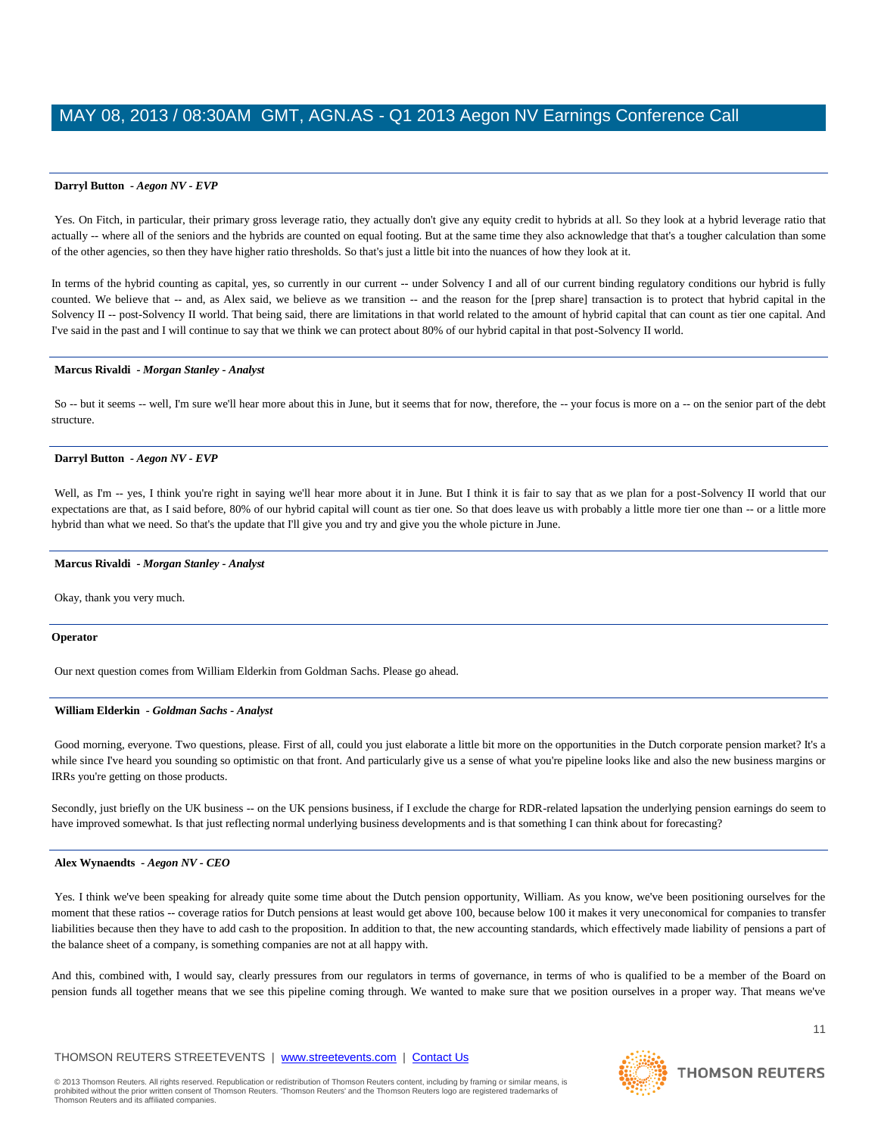Yes. On Fitch, in particular, their primary gross leverage ratio, they actually don't give any equity credit to hybrids at all. So they look at a hybrid leverage ratio that actually -- where all of the seniors and the hybrids are counted on equal footing. But at the same time they also acknowledge that that's a tougher calculation than some of the other agencies, so then they have higher ratio thresholds. So that's just a little bit into the nuances of how they look at it.

In terms of the hybrid counting as capital, yes, so currently in our current -- under Solvency I and all of our current binding regulatory conditions our hybrid is fully counted. We believe that -- and, as Alex said, we believe as we transition -- and the reason for the [prep share] transaction is to protect that hybrid capital in the Solvency II -- post-Solvency II world. That being said, there are limitations in that world related to the amount of hybrid capital that can count as tier one capital. And I've said in the past and I will continue to say that we think we can protect about 80% of our hybrid capital in that post-Solvency II world.

#### **Marcus Rivaldi** *- Morgan Stanley - Analyst*

So -- but it seems -- well, I'm sure we'll hear more about this in June, but it seems that for now, therefore, the -- your focus is more on a -- on the senior part of the debt structure.

#### **Darryl Button** *- Aegon NV - EVP*

Well, as I'm -- yes, I think you're right in saying we'll hear more about it in June. But I think it is fair to say that as we plan for a post-Solvency II world that our expectations are that, as I said before, 80% of our hybrid capital will count as tier one. So that does leave us with probably a little more tier one than -- or a little more hybrid than what we need. So that's the update that I'll give you and try and give you the whole picture in June.

#### **Marcus Rivaldi** *- Morgan Stanley - Analyst*

Okay, thank you very much.

#### **Operator**

Our next question comes from William Elderkin from Goldman Sachs. Please go ahead.

#### **William Elderkin** *- Goldman Sachs - Analyst*

Good morning, everyone. Two questions, please. First of all, could you just elaborate a little bit more on the opportunities in the Dutch corporate pension market? It's a while since I've heard you sounding so optimistic on that front. And particularly give us a sense of what you're pipeline looks like and also the new business margins or IRRs you're getting on those products.

Secondly, just briefly on the UK business -- on the UK pensions business, if I exclude the charge for RDR-related lapsation the underlying pension earnings do seem to have improved somewhat. Is that just reflecting normal underlying business developments and is that something I can think about for forecasting?

#### **Alex Wynaendts** *- Aegon NV - CEO*

Yes. I think we've been speaking for already quite some time about the Dutch pension opportunity, William. As you know, we've been positioning ourselves for the moment that these ratios -- coverage ratios for Dutch pensions at least would get above 100, because below 100 it makes it very uneconomical for companies to transfer liabilities because then they have to add cash to the proposition. In addition to that, the new accounting standards, which effectively made liability of pensions a part of the balance sheet of a company, is something companies are not at all happy with.

And this, combined with, I would say, clearly pressures from our regulators in terms of governance, in terms of who is qualified to be a member of the Board on pension funds all together means that we see this pipeline coming through. We wanted to make sure that we position ourselves in a proper way. That means we've

#### THOMSON REUTERS STREETEVENTS | www.streetevents.com | Contact Us

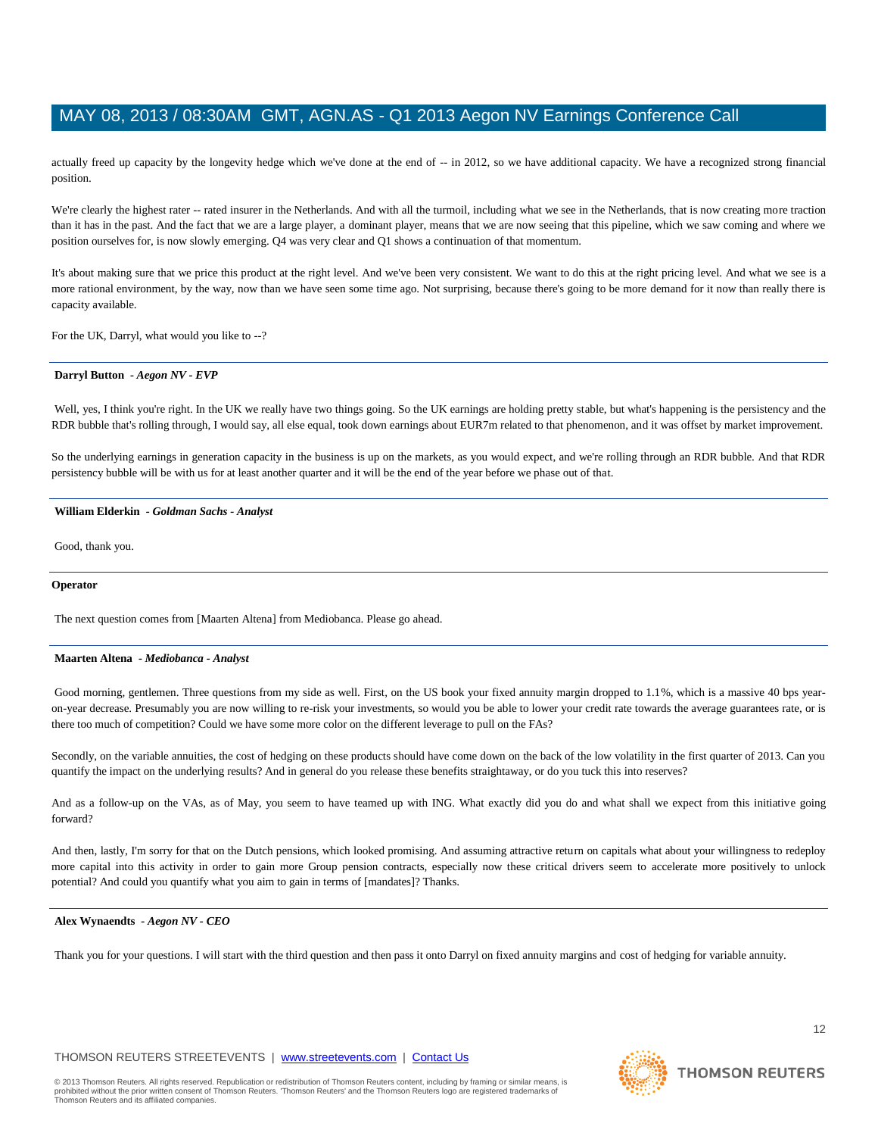actually freed up capacity by the longevity hedge which we've done at the end of -- in 2012, so we have additional capacity. We have a recognized strong financial position.

We're clearly the highest rater -- rated insurer in the Netherlands. And with all the turmoil, including what we see in the Netherlands, that is now creating more traction than it has in the past. And the fact that we are a large player, a dominant player, means that we are now seeing that this pipeline, which we saw coming and where we position ourselves for, is now slowly emerging. Q4 was very clear and Q1 shows a continuation of that momentum.

It's about making sure that we price this product at the right level. And we've been very consistent. We want to do this at the right pricing level. And what we see is a more rational environment, by the way, now than we have seen some time ago. Not surprising, because there's going to be more demand for it now than really there is capacity available.

For the UK, Darryl, what would you like to --?

#### **Darryl Button** *- Aegon NV - EVP*

Well, yes, I think you're right. In the UK we really have two things going. So the UK earnings are holding pretty stable, but what's happening is the persistency and the RDR bubble that's rolling through, I would say, all else equal, took down earnings about EUR7m related to that phenomenon, and it was offset by market improvement.

So the underlying earnings in generation capacity in the business is up on the markets, as you would expect, and we're rolling through an RDR bubble. And that RDR persistency bubble will be with us for at least another quarter and it will be the end of the year before we phase out of that.

#### **William Elderkin** *- Goldman Sachs - Analyst*

Good, thank you.

### **Operator**

The next question comes from [Maarten Altena] from Mediobanca. Please go ahead.

#### **Maarten Altena** *- Mediobanca - Analyst*

Good morning, gentlemen. Three questions from my side as well. First, on the US book your fixed annuity margin dropped to 1.1%, which is a massive 40 bps yearon-year decrease. Presumably you are now willing to re-risk your investments, so would you be able to lower your credit rate towards the average guarantees rate, or is there too much of competition? Could we have some more color on the different leverage to pull on the FAs?

Secondly, on the variable annuities, the cost of hedging on these products should have come down on the back of the low volatility in the first quarter of 2013. Can you quantify the impact on the underlying results? And in general do you release these benefits straightaway, or do you tuck this into reserves?

And as a follow-up on the VAs, as of May, you seem to have teamed up with ING. What exactly did you do and what shall we expect from this initiative going forward?

And then, lastly, I'm sorry for that on the Dutch pensions, which looked promising. And assuming attractive return on capitals what about your willingness to redeploy more capital into this activity in order to gain more Group pension contracts, especially now these critical drivers seem to accelerate more positively to unlock potential? And could you quantify what you aim to gain in terms of [mandates]? Thanks.

#### **Alex Wynaendts** *- Aegon NV - CEO*

Thank you for your questions. I will start with the third question and then pass it onto Darryl on fixed annuity margins and cost of hedging for variable annuity.

# THOMSON REUTERS STREETEVENTS | www.streetevents.com | Contact Us

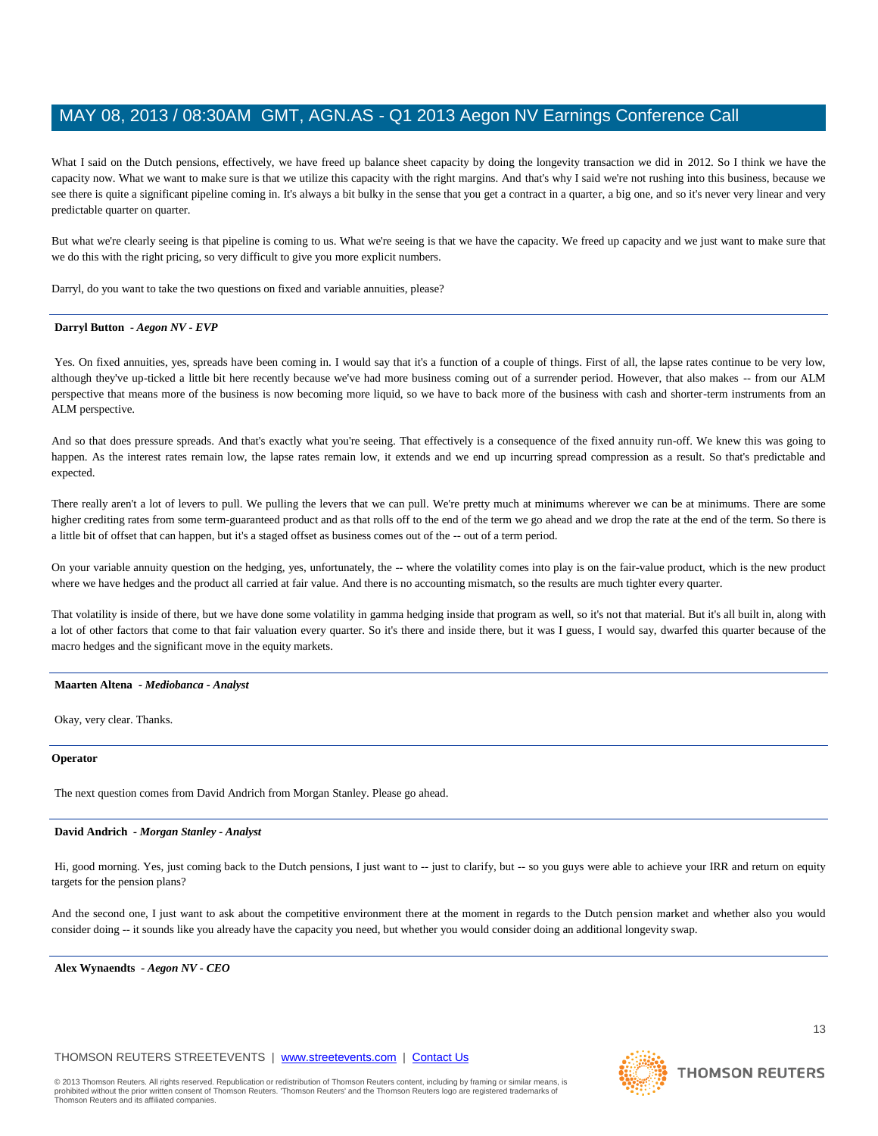What I said on the Dutch pensions, effectively, we have freed up balance sheet capacity by doing the longevity transaction we did in 2012. So I think we have the capacity now. What we want to make sure is that we utilize this capacity with the right margins. And that's why I said we're not rushing into this business, because we see there is quite a significant pipeline coming in. It's always a bit bulky in the sense that you get a contract in a quarter, a big one, and so it's never very linear and very predictable quarter on quarter.

But what we're clearly seeing is that pipeline is coming to us. What we're seeing is that we have the capacity. We freed up capacity and we just want to make sure that we do this with the right pricing, so very difficult to give you more explicit numbers.

Darryl, do you want to take the two questions on fixed and variable annuities, please?

#### **Darryl Button** *- Aegon NV - EVP*

Yes. On fixed annuities, yes, spreads have been coming in. I would say that it's a function of a couple of things. First of all, the lapse rates continue to be very low, although they've up-ticked a little bit here recently because we've had more business coming out of a surrender period. However, that also makes -- from our ALM perspective that means more of the business is now becoming more liquid, so we have to back more of the business with cash and shorter-term instruments from an ALM perspective.

And so that does pressure spreads. And that's exactly what you're seeing. That effectively is a consequence of the fixed annuity run-off. We knew this was going to happen. As the interest rates remain low, the lapse rates remain low, it extends and we end up incurring spread compression as a result. So that's predictable and expected.

There really aren't a lot of levers to pull. We pulling the levers that we can pull. We're pretty much at minimums wherever we can be at minimums. There are some higher crediting rates from some term-guaranteed product and as that rolls off to the end of the term we go ahead and we drop the rate at the end of the term. So there is a little bit of offset that can happen, but it's a staged offset as business comes out of the -- out of a term period.

On your variable annuity question on the hedging, yes, unfortunately, the -- where the volatility comes into play is on the fair-value product, which is the new product where we have hedges and the product all carried at fair value. And there is no accounting mismatch, so the results are much tighter every quarter.

That volatility is inside of there, but we have done some volatility in gamma hedging inside that program as well, so it's not that material. But it's all built in, along with a lot of other factors that come to that fair valuation every quarter. So it's there and inside there, but it was I guess, I would say, dwarfed this quarter because of the macro hedges and the significant move in the equity markets.

#### **Maarten Altena** *- Mediobanca - Analyst*

Okay, very clear. Thanks.

#### **Operator**

The next question comes from David Andrich from Morgan Stanley. Please go ahead.

#### **David Andrich** *- Morgan Stanley - Analyst*

Hi, good morning. Yes, just coming back to the Dutch pensions, I just want to -- just to clarify, but -- so you guys were able to achieve your IRR and return on equity targets for the pension plans?

And the second one, I just want to ask about the competitive environment there at the moment in regards to the Dutch pension market and whether also you would consider doing -- it sounds like you already have the capacity you need, but whether you would consider doing an additional longevity swap.

**Alex Wynaendts** *- Aegon NV - CEO* 

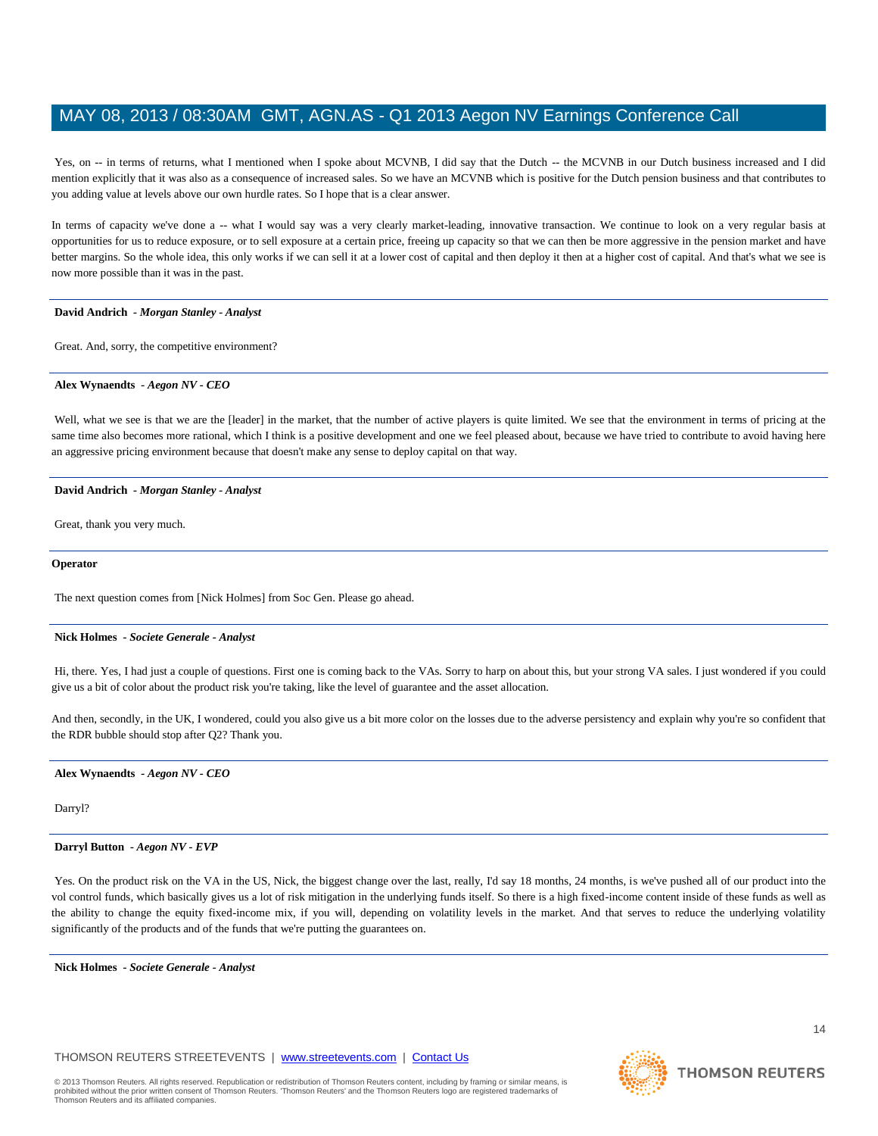Yes, on -- in terms of returns, what I mentioned when I spoke about MCVNB, I did say that the Dutch -- the MCVNB in our Dutch business increased and I did mention explicitly that it was also as a consequence of increased sales. So we have an MCVNB which is positive for the Dutch pension business and that contributes to you adding value at levels above our own hurdle rates. So I hope that is a clear answer.

In terms of capacity we've done a -- what I would say was a very clearly market-leading, innovative transaction. We continue to look on a very regular basis at opportunities for us to reduce exposure, or to sell exposure at a certain price, freeing up capacity so that we can then be more aggressive in the pension market and have better margins. So the whole idea, this only works if we can sell it at a lower cost of capital and then deploy it then at a higher cost of capital. And that's what we see is now more possible than it was in the past.

#### **David Andrich** *- Morgan Stanley - Analyst*

Great. And, sorry, the competitive environment?

#### **Alex Wynaendts** *- Aegon NV - CEO*

Well, what we see is that we are the [leader] in the market, that the number of active players is quite limited. We see that the environment in terms of pricing at the same time also becomes more rational, which I think is a positive development and one we feel pleased about, because we have tried to contribute to avoid having here an aggressive pricing environment because that doesn't make any sense to deploy capital on that way.

#### **David Andrich** *- Morgan Stanley - Analyst*

Great, thank you very much.

#### **Operator**

The next question comes from [Nick Holmes] from Soc Gen. Please go ahead.

#### **Nick Holmes** *- Societe Generale - Analyst*

Hi, there. Yes, I had just a couple of questions. First one is coming back to the VAs. Sorry to harp on about this, but your strong VA sales. I just wondered if you could give us a bit of color about the product risk you're taking, like the level of guarantee and the asset allocation.

And then, secondly, in the UK, I wondered, could you also give us a bit more color on the losses due to the adverse persistency and explain why you're so confident that the RDR bubble should stop after Q2? Thank you.

#### **Alex Wynaendts** *- Aegon NV - CEO*

Darryl?

#### **Darryl Button** *- Aegon NV - EVP*

Yes. On the product risk on the VA in the US, Nick, the biggest change over the last, really, I'd say 18 months, 24 months, is we've pushed all of our product into the vol control funds, which basically gives us a lot of risk mitigation in the underlying funds itself. So there is a high fixed-income content inside of these funds as well as the ability to change the equity fixed-income mix, if you will, depending on volatility levels in the market. And that serves to reduce the underlying volatility significantly of the products and of the funds that we're putting the guarantees on.

**Nick Holmes** *- Societe Generale - Analyst* 

### THOMSON REUTERS STREETEVENTS | www.streetevents.com | Contact Us

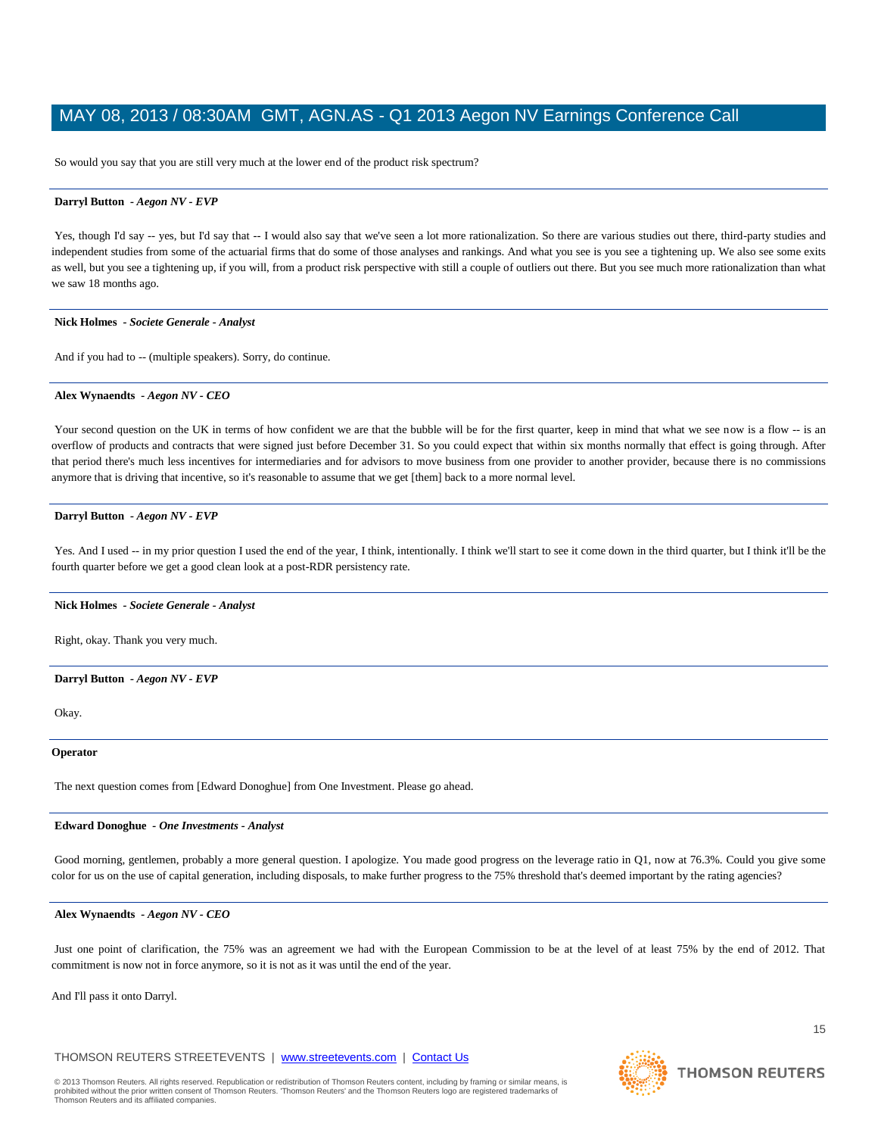So would you say that you are still very much at the lower end of the product risk spectrum?

#### **Darryl Button** *- Aegon NV - EVP*

Yes, though I'd say -- yes, but I'd say that -- I would also say that we've seen a lot more rationalization. So there are various studies out there, third-party studies and independent studies from some of the actuarial firms that do some of those analyses and rankings. And what you see is you see a tightening up. We also see some exits as well, but you see a tightening up, if you will, from a product risk perspective with still a couple of outliers out there. But you see much more rationalization than what we saw 18 months ago.

#### **Nick Holmes** *- Societe Generale - Analyst*

And if you had to -- (multiple speakers). Sorry, do continue.

#### **Alex Wynaendts** *- Aegon NV - CEO*

Your second question on the UK in terms of how confident we are that the bubble will be for the first quarter, keep in mind that what we see now is a flow -- is an overflow of products and contracts that were signed just before December 31. So you could expect that within six months normally that effect is going through. After that period there's much less incentives for intermediaries and for advisors to move business from one provider to another provider, because there is no commissions anymore that is driving that incentive, so it's reasonable to assume that we get [them] back to a more normal level.

#### **Darryl Button** *- Aegon NV - EVP*

Yes. And I used -- in my prior question I used the end of the year, I think, intentionally. I think we'll start to see it come down in the third quarter, but I think it'll be the fourth quarter before we get a good clean look at a post-RDR persistency rate.

#### **Nick Holmes** *- Societe Generale - Analyst*

Right, okay. Thank you very much.

#### **Darryl Button** *- Aegon NV - EVP*

Okay.

#### **Operator**

The next question comes from [Edward Donoghue] from One Investment. Please go ahead.

#### **Edward Donoghue** *- One Investments - Analyst*

Good morning, gentlemen, probably a more general question. I apologize. You made good progress on the leverage ratio in Q1, now at 76.3%. Could you give some color for us on the use of capital generation, including disposals, to make further progress to the 75% threshold that's deemed important by the rating agencies?

#### **Alex Wynaendts** *- Aegon NV - CEO*

Just one point of clarification, the 75% was an agreement we had with the European Commission to be at the level of at least 75% by the end of 2012. That commitment is now not in force anymore, so it is not as it was until the end of the year.

And I'll pass it onto Darryl.

# THOMSON REUTERS STREETEVENTS | www.streetevents.com | Contact Us

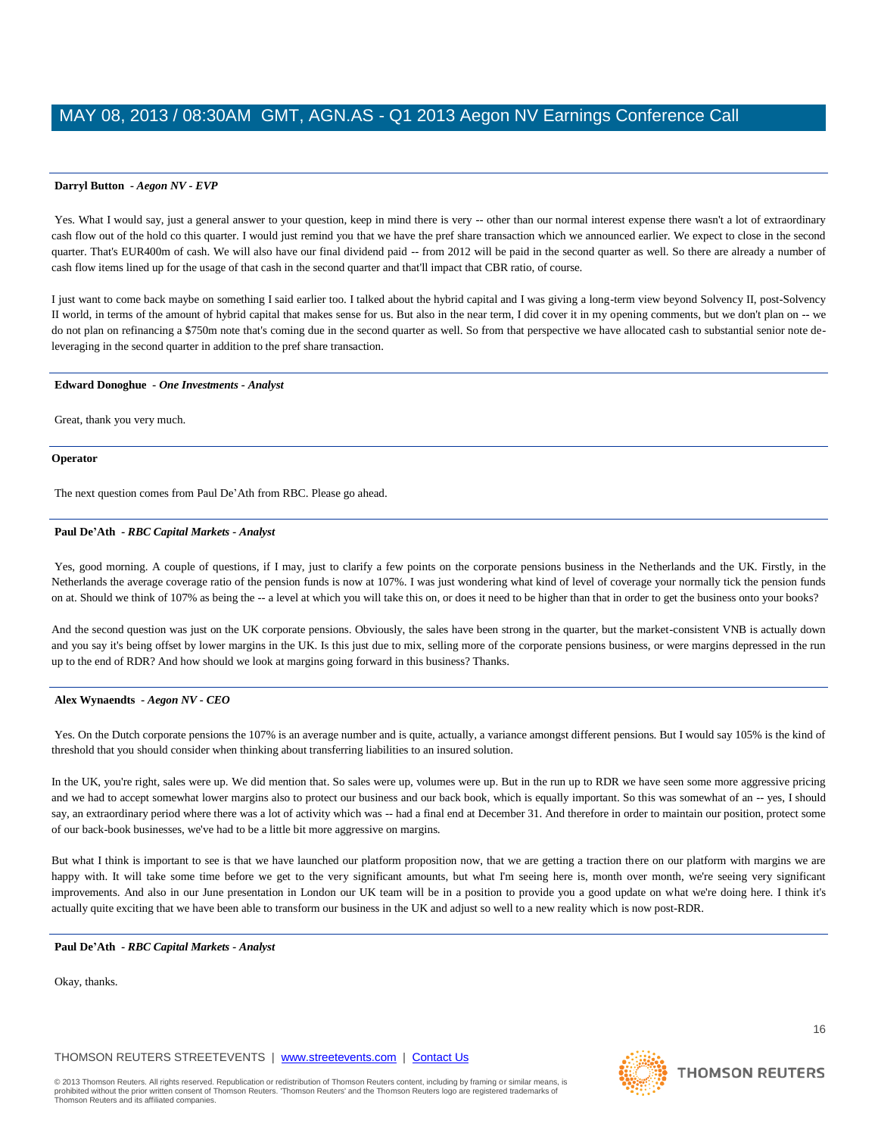Yes. What I would say, just a general answer to your question, keep in mind there is very -- other than our normal interest expense there wasn't a lot of extraordinary cash flow out of the hold co this quarter. I would just remind you that we have the pref share transaction which we announced earlier. We expect to close in the second quarter. That's EUR400m of cash. We will also have our final dividend paid -- from 2012 will be paid in the second quarter as well. So there are already a number of cash flow items lined up for the usage of that cash in the second quarter and that'll impact that CBR ratio, of course.

I just want to come back maybe on something I said earlier too. I talked about the hybrid capital and I was giving a long-term view beyond Solvency II, post-Solvency II world, in terms of the amount of hybrid capital that makes sense for us. But also in the near term, I did cover it in my opening comments, but we don't plan on -- we do not plan on refinancing a \$750m note that's coming due in the second quarter as well. So from that perspective we have allocated cash to substantial senior note deleveraging in the second quarter in addition to the pref share transaction.

#### **Edward Donoghue** *- One Investments - Analyst*

Great, thank you very much.

#### **Operator**

The next question comes from Paul De'Ath from RBC. Please go ahead.

#### **Paul De'Ath** *- RBC Capital Markets - Analyst*

Yes, good morning. A couple of questions, if I may, just to clarify a few points on the corporate pensions business in the Netherlands and the UK. Firstly, in the Netherlands the average coverage ratio of the pension funds is now at 107%. I was just wondering what kind of level of coverage your normally tick the pension funds on at. Should we think of 107% as being the -- a level at which you will take this on, or does it need to be higher than that in order to get the business onto your books?

And the second question was just on the UK corporate pensions. Obviously, the sales have been strong in the quarter, but the market-consistent VNB is actually down and you say it's being offset by lower margins in the UK. Is this just due to mix, selling more of the corporate pensions business, or were margins depressed in the run up to the end of RDR? And how should we look at margins going forward in this business? Thanks.

#### **Alex Wynaendts** *- Aegon NV - CEO*

Yes. On the Dutch corporate pensions the 107% is an average number and is quite, actually, a variance amongst different pensions. But I would say 105% is the kind of threshold that you should consider when thinking about transferring liabilities to an insured solution.

In the UK, you're right, sales were up. We did mention that. So sales were up, volumes were up. But in the run up to RDR we have seen some more aggressive pricing and we had to accept somewhat lower margins also to protect our business and our back book, which is equally important. So this was somewhat of an -- yes, I should say, an extraordinary period where there was a lot of activity which was -- had a final end at December 31. And therefore in order to maintain our position, protect some of our back-book businesses, we've had to be a little bit more aggressive on margins.

But what I think is important to see is that we have launched our platform proposition now, that we are getting a traction there on our platform with margins we are happy with. It will take some time before we get to the very significant amounts, but what I'm seeing here is, month over month, we're seeing very significant improvements. And also in our June presentation in London our UK team will be in a position to provide you a good update on what we're doing here. I think it's actually quite exciting that we have been able to transform our business in the UK and adjust so well to a new reality which is now post-RDR.

#### **Paul De'Ath** *- RBC Capital Markets - Analyst*

Okay, thanks.

THOMSON REUTERS STREETEVENTS | www.streetevents.com | Contact Us



16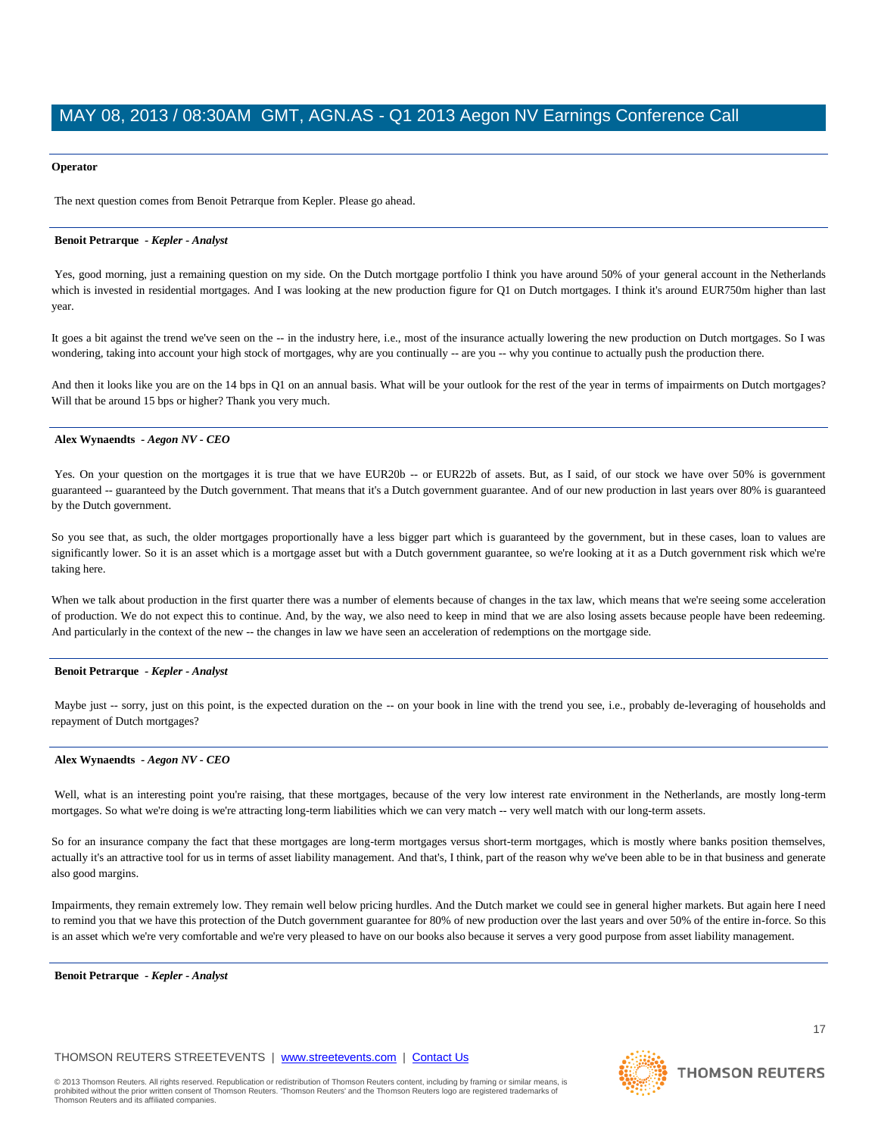### **Operator**

The next question comes from Benoit Petrarque from Kepler. Please go ahead.

#### **Benoit Petrarque** *- Kepler - Analyst*

Yes, good morning, just a remaining question on my side. On the Dutch mortgage portfolio I think you have around 50% of your general account in the Netherlands which is invested in residential mortgages. And I was looking at the new production figure for Q1 on Dutch mortgages. I think it's around EUR750m higher than last year.

It goes a bit against the trend we've seen on the -- in the industry here, i.e., most of the insurance actually lowering the new production on Dutch mortgages. So I was wondering, taking into account your high stock of mortgages, why are you continually -- are you -- why you continue to actually push the production there.

And then it looks like you are on the 14 bps in Q1 on an annual basis. What will be your outlook for the rest of the year in terms of impairments on Dutch mortgages? Will that be around 15 bps or higher? Thank you very much.

#### **Alex Wynaendts** *- Aegon NV - CEO*

Yes. On your question on the mortgages it is true that we have EUR20b -- or EUR22b of assets. But, as I said, of our stock we have over 50% is government guaranteed -- guaranteed by the Dutch government. That means that it's a Dutch government guarantee. And of our new production in last years over 80% is guaranteed by the Dutch government.

So you see that, as such, the older mortgages proportionally have a less bigger part which is guaranteed by the government, but in these cases, loan to values are significantly lower. So it is an asset which is a mortgage asset but with a Dutch government guarantee, so we're looking at it as a Dutch government risk which we're taking here.

When we talk about production in the first quarter there was a number of elements because of changes in the tax law, which means that we're seeing some acceleration of production. We do not expect this to continue. And, by the way, we also need to keep in mind that we are also losing assets because people have been redeeming. And particularly in the context of the new -- the changes in law we have seen an acceleration of redemptions on the mortgage side.

#### **Benoit Petrarque** *- Kepler - Analyst*

Maybe just -- sorry, just on this point, is the expected duration on the -- on your book in line with the trend you see, i.e., probably de-leveraging of households and repayment of Dutch mortgages?

#### **Alex Wynaendts** *- Aegon NV - CEO*

Well, what is an interesting point you're raising, that these mortgages, because of the very low interest rate environment in the Netherlands, are mostly long-term mortgages. So what we're doing is we're attracting long-term liabilities which we can very match -- very well match with our long-term assets.

So for an insurance company the fact that these mortgages are long-term mortgages versus short-term mortgages, which is mostly where banks position themselves, actually it's an attractive tool for us in terms of asset liability management. And that's, I think, part of the reason why we've been able to be in that business and generate also good margins.

Impairments, they remain extremely low. They remain well below pricing hurdles. And the Dutch market we could see in general higher markets. But again here I need to remind you that we have this protection of the Dutch government guarantee for 80% of new production over the last years and over 50% of the entire in-force. So this is an asset which we're very comfortable and we're very pleased to have on our books also because it serves a very good purpose from asset liability management.

**Benoit Petrarque** *- Kepler - Analyst*